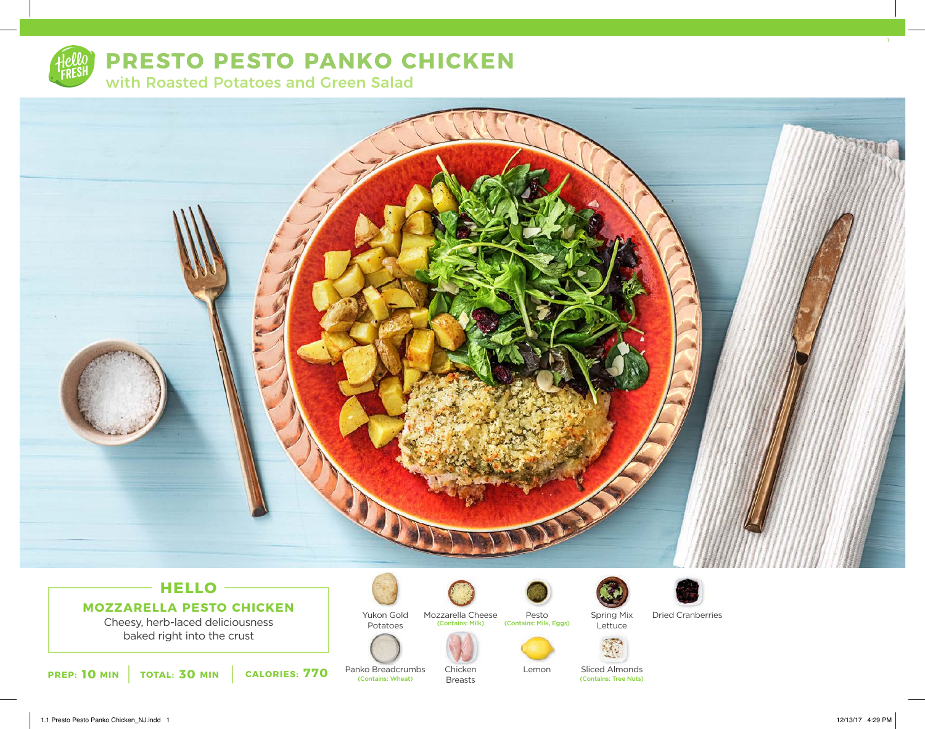

# **PRESTO PESTO PANKO CHICKEN**

with Roasted Potatoes and Green Salad



## **HELLO MOZZARELLA PESTO CHICKEN**

Cheesy, herb-laced deliciousness baked right into the crust

**10 10 1018 / TOTAL: 30 MIN CALORIES: 770 PANKO BreadCrumbs** Chicken Lemon Silced Almonds Contains: Tree Nuts)

Yukon Gold

Potatoes

Panko Breadcrumbs<br>
(Contains: Wheat)



Mozzarella Cheese<br>
Contains: Milk)

Chicken Breasts



Lemon



Spring Mix Dried Cranberries



Sliced Almonds<br>(Contains: Tree Nuts)